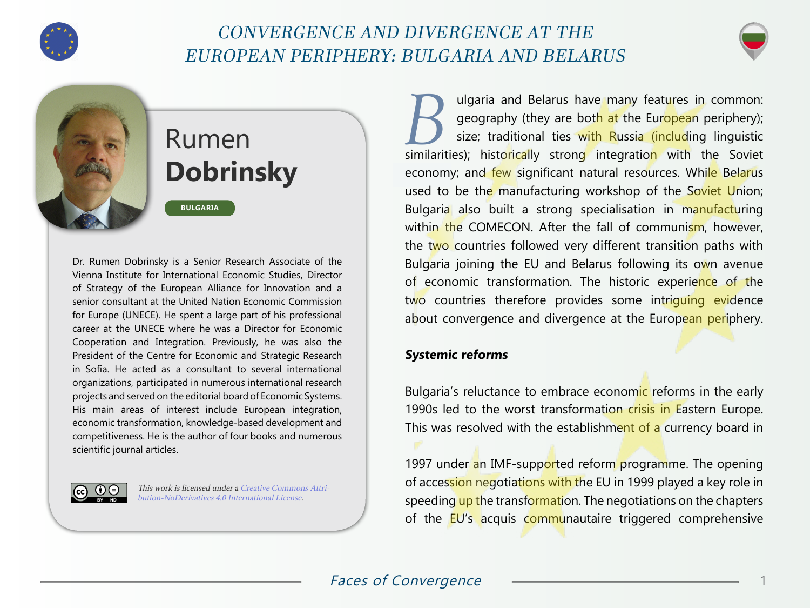

# CONVERGENCE AND DIVERGENCE AT THE EUROPEAN PERIPHERY: BULGARIA AND BELARUS



# Rumen **Dobrinsky**

**BULGARIA**

Dr. Rumen Dobrinsky is a Senior Research Associate of the Vienna Institute for International Economic Studies, Director of Strategy of the European Alliance for Innovation and a senior consultant at the United Nation Economic Commission for Europe (UNECE). He spent a large part of his professional career at the UNECE where he was a Director for Economic Cooperation and Integration. Previously, he was also the President of the Centre for Economic and Strategic Research in Sofia. He acted as a consultant to several international organizations, participated in numerous international research projects and served on the editorial board of Economic Systems. His main areas of interest include European integration, economic transformation, knowledge-based development and competitiveness. He is the author of four books and numerous scientific journal articles.



This work is licensed under a [Creative Commons Attri](https://creativecommons.org/licenses/by-nd/4.0/)[bution-NoDerivatives 4.0 International License](https://creativecommons.org/licenses/by-nd/4.0/).

Updaria and Belarus have many features in common:<br>geography (they are both at the European periphery);<br>size; traditional ties with Russia (including linguistic geography (they are bot<mark>h at</mark> the Eur<mark>opea</mark>n periphery); size; traditional ties with Russia (including linguistic similarities); historically strong integration with the Soviet economy; and few significant natural resources. While Belarus used to be the manufacturing workshop of the Soviet Union; Bulgaria also built a strong specialisation in manufacturing within the COMECON. After the fall of communism, however, the two countries followed very different transition paths with Bulgaria joining the EU and Belarus following its own avenue of economic transformation. The historic experience of the two countries therefore provides some intriguing evidence about convergence and divergence at the European periphery.

## **Systemic reforms**

Bulgaria's reluctance to embrace economic reforms in the early 1990s led to the worst transformation crisis in Eastern Europe. This was resolved with the establishment of a currency board in

1997 under an IMF-supported reform programme. The opening of accession negotiations with the EU in 1999 played a key role in speeding up the transformation. The negotiations on the chapters of the EU's acquis communautaire triggered comprehensive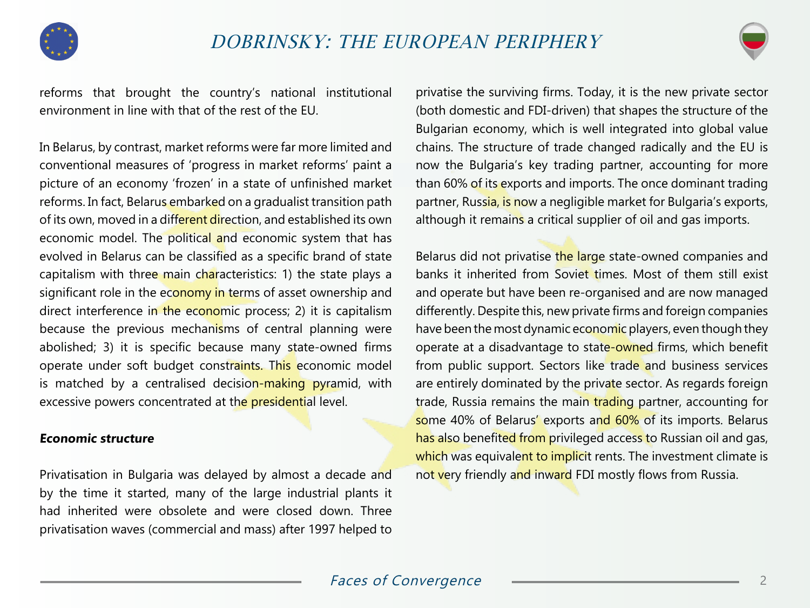

reforms that brought the country's national institutional environment in line with that of the rest of the EU.

In Belarus, by contrast, market reforms were far more limited and conventional measures of 'progress in market reforms' paint a picture of an economy 'frozen' in a state of unfinished market reforms. In fact, Belarus embarked on a gradualist transition path of its own, moved in a different direction, and established its own economic model. The political and economic system that has evolved in Belarus can be classified as a specific brand of state capitalism with three main characteristics: 1) the state plays a significant role in the economy in terms of asset ownership and direct interference in the economic process; 2) it is capitalism because the previous mechanisms of central planning were abolished; 3) it is specific because many state-owned firms operate under soft budget constraints. This economic model is matched by a centralised decision-making pyramid, with excessive powers concentrated at the **presidential** level.

#### **Economic structure**

Privatisation in Bulgaria was delayed by almost a decade and by the time it started, many of the large industrial plants it had inherited were obsolete and were closed down. Three privatisation waves (commercial and mass) after 1997 helped to

privatise the surviving firms. Today, it is the new private sector (both domestic and FDI-driven) that shapes the structure of the Bulgarian economy, which is well integrated into global value chains. The structure of trade changed radically and the EU is now the Bulgaria's key trading partner, accounting for more than 60% of its exports and imports. The once dominant trading partner, Russia, is now a negligible market for Bulgaria's exports, although it remains a critical supplier of oil and gas imports.

Belarus did not privatise the large state-owned companies and banks it inherited from Soviet times. Most of them still exist and operate but have been re-organised and are now managed differently. Despite this, new private firms and foreign companies have been the most dynamic economic players, even though they operate at a disadvantage to state-owned firms, which benefit from public support. Sectors like trade and business services are entirely dominated by the private sector. As regards foreign trade, Russia remains the main trading partner, accounting for some 40% of Belarus' exports and 60% of its imports. Belarus has also benefited from privileged access to Russian oil and gas, which was equivalent to implicit rents. The investment climate is not very friendly and inward FDI mostly flows from Russia.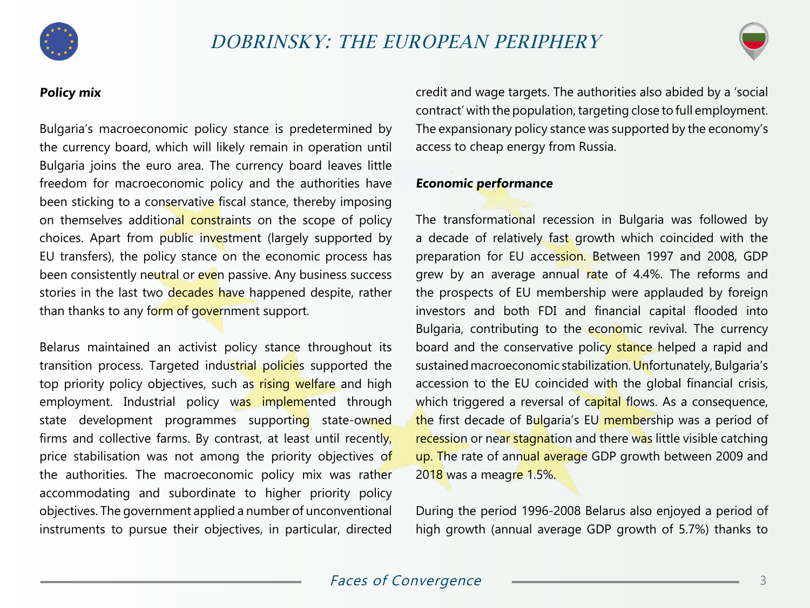

# **Policy mix**

Bulgaria's macroeconomic policy stance is predetermined by the currency board, which will likely remain in operation until Bulgaria joins the euro area. The currency board leaves little freedom for macroeconomic policy and the authorities have been sticking to a conservative fiscal stance, thereby imposing on themselves additional constraints on the scope of policy choices. Apart from public investment (largely supported by EU transfers), the policy stance on the economic process has been consistently neutral or even passive. Any business success stories in the last two decades have happened despite, rather than thanks to any form of government support.

Belarus maintained an activist policy stance throughout its transition process. Targeted industrial policies supported the top priority policy objectives, such as rising welfare and high employment. Industrial policy was implemented through state development programmes supporting state-owned firms and collective farms. By contrast, at least until recently, price stabilisation was not among the priority objectives of the authorities. The macroeconomic policy mix was rather accommodating and subordinate to higher priority policy objectives. The government applied a number of unconventional instruments to pursue their objectives, in particular, directed credit and wage targets. The authorities also abided by a 'social contract' with the population, targeting close to full employment. The expansionary policy stance was supported by the economy's access to cheap energy from Russia.

#### **Economic performance**

The transformational recession in Bulgaria was followed by a decade of relatively fast growth which coincided with the preparation for EU accession. Between 1997 and 2008, GDP grew by an average annual rate of 4.4%. The reforms and the prospects of EU membership were applauded by foreign investors and both FDI and financial capital flooded into Bulgaria, contributing to the economic revival. The currency board and the conservative policy stance helped a rapid and sustained macroeconomic stabilization. Unfortunately, Bulgaria's accession to the EU coincided with the global financial crisis, which triggered a reversal of capital flows. As a consequence, the first decade of Bulgaria's EU membership was a period of recession or near stagnation and there was little visible catching up. The rate of annual average GDP growth between 2009 and 2018 was a meagre 1.5%.

During the period 1996-2008 Belarus also enjoyed a period of high growth (annual average GDP growth of 5.7%) thanks to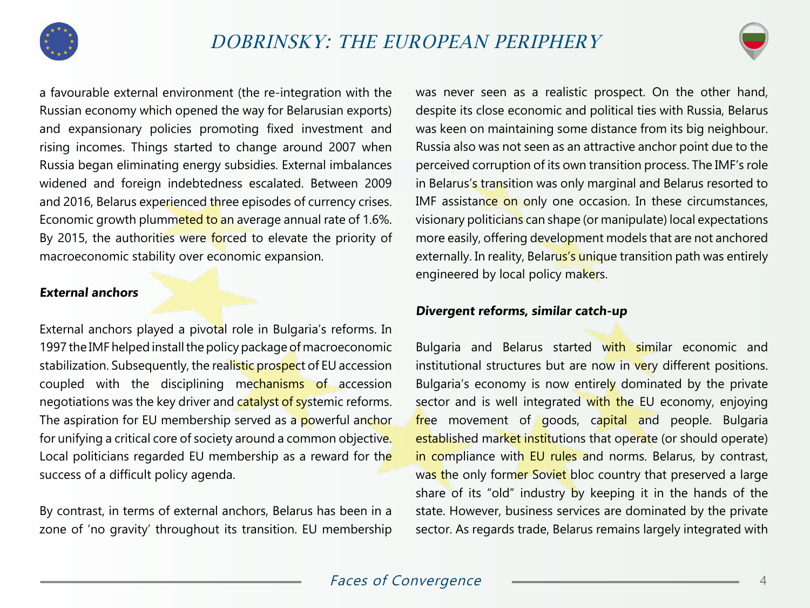

a favourable external environment (the re-integration with the Russian economy which opened the way for Belarusian exports) and expansionary policies promoting fixed investment and rising incomes. Things started to change around 2007 when Russia began eliminating energy subsidies. External imbalances widened and foreign indebtedness escalated. Between 2009 and 2016, Belarus experienced three episodes of currency crises. Economic growth plummeted to an average annual rate of 1.6%. By 2015, the authorities were forced to elevate the priority of macroeconomic stability over economic expansion.

## **External anchors**

External anchors played a pivotal role in Bulgaria's reforms. In 1997 the IMF helped install the policy package of macroeconomic stabilization. Subsequently, the realistic prospect of EU accession coupled with the disciplining mechanisms of accession negotiations was the key driver and catalyst of systemic reforms. The aspiration for EU membership served as a powerful anchor for unifying a critical core of society around a common objective. Local politicians regarded EU membership as a reward for the success of a difficult policy agenda.

By contrast, in terms of external anchors, Belarus has been in a zone of 'no gravity' throughout its transition. EU membership was never seen as a realistic prospect. On the other hand, despite its close economic and political ties with Russia, Belarus was keen on maintaining some distance from its big neighbour. Russia also was not seen as an attractive anchor point due to the perceived corruption of its own transition process. The IMF's role in Belarus's transition was only marginal and Belarus resorted to IMF assistance on only one occasion. In these circumstances, visionary politicians can shape (or manipulate) local expectations more easily, offering development models that are not anchored externally. In reality, Belarus's unique transition path was entirely engineered by local policy makers.

## **Divergent reforms, similar catch-up**

Bulgaria and Belarus started with similar economic and institutional structures but are now in very different positions. Bulgaria's economy is now entirely dominated by the private sector and is well integrated with the EU economy, enjoying free movement of goods, capital and people. Bulgaria established market institutions that operate (or should operate) in compliance with EU rules and norms. Belarus, by contrast, was the only former Soviet bloc country that preserved a large share of its "old" industry by keeping it in the hands of the state. However, business services are dominated by the private sector. As regards trade, Belarus remains largely integrated with